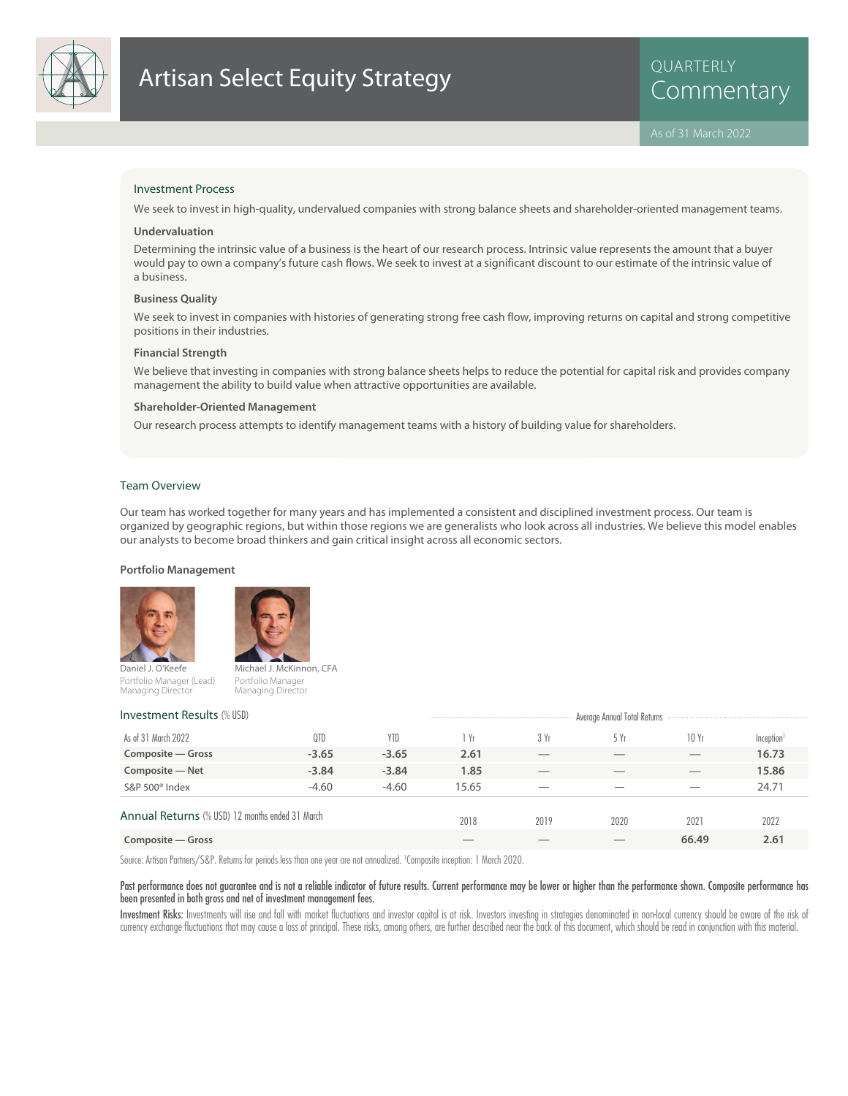

# Artisan Select Equity Strategy<br>Commentary

QUARTERLY

#### Investment Process

We seek to invest in high-quality, undervalued companies with strong balance sheets and shareholder-oriented management teams.

#### **Undervaluation**

Determining the intrinsic value of a business is the heart of our research process. Intrinsic value represents the amount that a buyer would pay to own a company's future cash flows. We seek to invest at a significant discount to our estimate of the intrinsic value of a business.

#### **Business Quality**

We seek to invest in companies with histories of generating strong free cash flow, improving returns on capital and strong competitive positions in their industries.

#### **Financial Strength**

We believe that investing in companies with strong balance sheets helps to reduce the potential for capital risk and provides company management the ability to build value when attractive opportunities are available.

#### **Shareholder-Oriented Management**

Our research process attempts to identify management teams with a history of building value for shareholders.

#### Team Overview

Our team has worked together for many years and has implemented a consistent and disciplined investment process. Our team is organized by geographic regions, but within those regions we are generalists who look across all industries. We believe this model enables our analysts to become broad thinkers and gain critical insight across all economic sectors.

#### **Portfolio Management**



Portfolio Manager (Lead) Managing Director



Portfolio Manager Managing Director

| <b>Investment Results (% USD)</b>               |         | Average Annual Total Returns |       |      |      |       |                        |
|-------------------------------------------------|---------|------------------------------|-------|------|------|-------|------------------------|
| As of 31 March 2022                             | 0TD     | <b>YTD</b>                   | Yr    | 3 Yr | 5 Yr | 10Yr  | Inception <sup>1</sup> |
| Composite – Gross                               | $-3.65$ | $-3.65$                      | 2.61  |      |      |       | 16.73                  |
| Composite - Net                                 | $-3.84$ | $-3.84$                      | 1.85  |      |      |       | 15.86                  |
| S&P 500 <sup>®</sup> Index                      | $-4.60$ | $-4.60$                      | 15.65 |      |      |       | 24.71                  |
| Annual Returns (% USD) 12 months ended 31 March |         | 2018                         | 2019  | 2020 | 2021 | 2022  |                        |
| Composite — Gross                               |         |                              |       |      |      | 66.49 | 2.61                   |
|                                                 |         |                              |       |      |      |       |                        |

Source: Artisan Partners/S&P. Returns for periods less than one year are not annualized. <sup>1</sup> Composite inception: 1 March 2020.

#### Past performance does not guarantee and is not a reliable indicator of future results. Current performance may be lower or higher than the performance shown. Composite performance has been presented in both gross and net of investment management fees.

Investment Risks: Investments will rise and fall with market fluctuations and investor capital is at risk. Investors investing in strategies denominated in non-local currency should be aware of the risk of currency exchange fluctuations that may cause a loss of principal. These risks, among others, are further described near the back of this document, which should be read in conjunction with this material.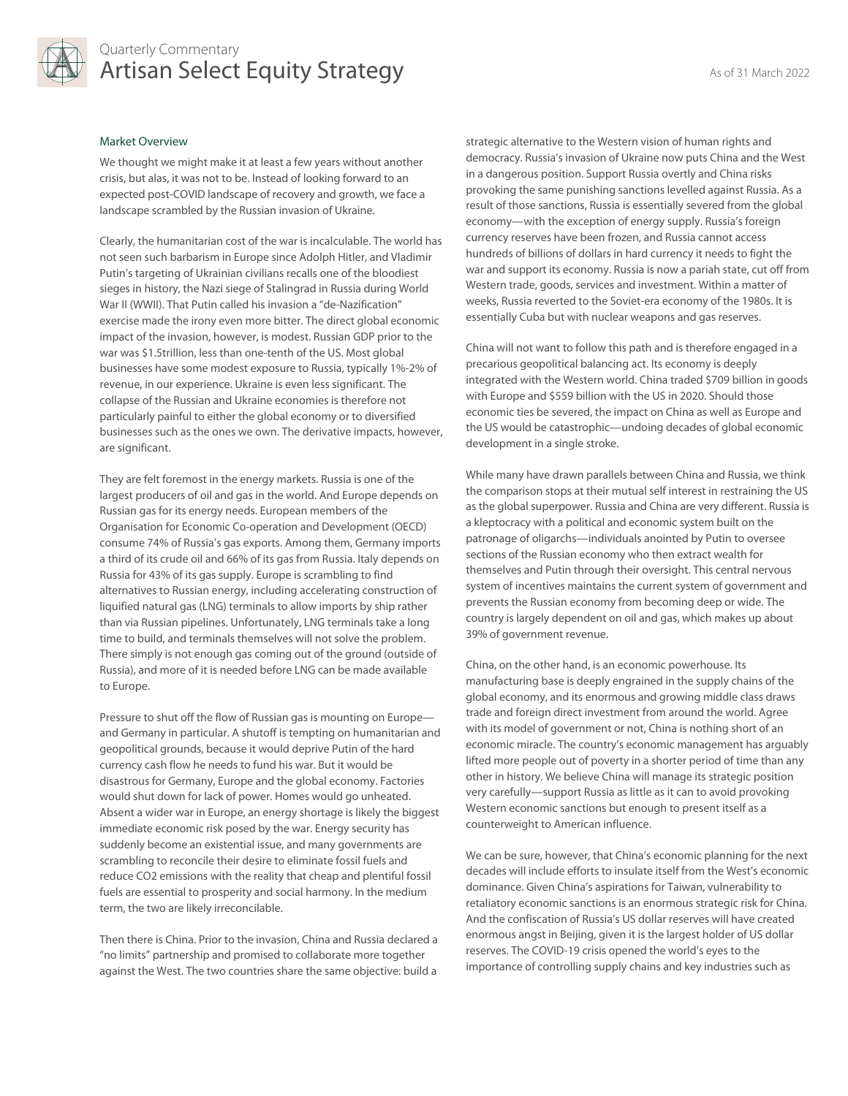

### Quarterly Commentary Artisan Select Equity Strategy **Artisan Select Equity Strategy**

#### Market Overview

We thought we might make it at least a few years without another crisis, but alas, it was not to be. Instead of looking forward to an expected post-COVID landscape of recovery and growth, we face a landscape scrambled by the Russian invasion of Ukraine.

Clearly, the humanitarian cost of the war is incalculable. The world has not seen such barbarism in Europe since Adolph Hitler, and Vladimir Putin's targeting of Ukrainian civilians recalls one of the bloodiest sieges in history, the Nazi siege of Stalingrad in Russia during World War II (WWII). That Putin called his invasion a "de-Nazification" exercise made the irony even more bitter. The direct global economic impact of the invasion, however, is modest. Russian GDP prior to the war was \$1.5trillion, less than one-tenth of the US. Most global businesses have some modest exposure to Russia, typically 1%-2% of revenue, in our experience. Ukraine is even less significant. The collapse of the Russian and Ukraine economies is therefore not particularly painful to either the global economy or to diversified businesses such as the ones we own. The derivative impacts, however, are significant.

They are felt foremost in the energy markets. Russia is one of the largest producers of oil and gas in the world. And Europe depends on Russian gas for its energy needs. European members of the Organisation for Economic Co-operation and Development (OECD) consume 74% of Russia's gas exports. Among them, Germany imports a third of its crude oil and 66% of its gas from Russia. Italy depends on Russia for 43% of its gas supply. Europe is scrambling to find alternatives to Russian energy, including accelerating construction of liquified natural gas (LNG) terminals to allow imports by ship rather than via Russian pipelines. Unfortunately, LNG terminals take a long time to build, and terminals themselves will not solve the problem. There simply is not enough gas coming out of the ground (outside of Russia), and more of it is needed before LNG can be made available to Europe.

Pressure to shut off the flow of Russian gas is mounting on Europe and Germany in particular. A shutoff is tempting on humanitarian and geopolitical grounds, because it would deprive Putin of the hard currency cash flow he needs to fund his war. But it would be disastrous for Germany, Europe and the global economy. Factories would shut down for lack of power. Homes would go unheated. Absent a wider war in Europe, an energy shortage is likely the biggest immediate economic risk posed by the war. Energy security has suddenly become an existential issue, and many governments are scrambling to reconcile their desire to eliminate fossil fuels and reduce CO2 emissions with the reality that cheap and plentiful fossil fuels are essential to prosperity and social harmony. In the medium term, the two are likely irreconcilable.

Then there is China. Prior to the invasion, China and Russia declared a "no limits" partnership and promised to collaborate more together against the West. The two countries share the same objective: build a

strategic alternative to the Western vision of human rights and democracy. Russia's invasion of Ukraine now puts China and the West in a dangerous position. Support Russia overtly and China risks provoking the same punishing sanctions levelled against Russia. As a result of those sanctions, Russia is essentially severed from the global economy—with the exception of energy supply. Russia's foreign currency reserves have been frozen, and Russia cannot access hundreds of billions of dollars in hard currency it needs to fight the war and support its economy. Russia is now a pariah state, cut off from Western trade, goods, services and investment. Within a matter of weeks, Russia reverted to the Soviet-era economy of the 1980s. It is essentially Cuba but with nuclear weapons and gas reserves.

China will not want to follow this path and is therefore engaged in a precarious geopolitical balancing act. Its economy is deeply integrated with the Western world. China traded \$709 billion in goods with Europe and \$559 billion with the US in 2020. Should those economic ties be severed, the impact on China as well as Europe and the US would be catastrophic—undoing decades of global economic development in a single stroke.

While many have drawn parallels between China and Russia, we think the comparison stops at their mutual self interest in restraining the US as the global superpower. Russia and China are very different. Russia is a kleptocracy with a political and economic system built on the patronage of oligarchs—individuals anointed by Putin to oversee sections of the Russian economy who then extract wealth for themselves and Putin through their oversight. This central nervous system of incentives maintains the current system of government and prevents the Russian economy from becoming deep or wide. The country is largely dependent on oil and gas, which makes up about 39% of government revenue.

China, on the other hand, is an economic powerhouse. Its manufacturing base is deeply engrained in the supply chains of the global economy, and its enormous and growing middle class draws trade and foreign direct investment from around the world. Agree with its model of government or not, China is nothing short of an economic miracle. The country's economic management has arguably lifted more people out of poverty in a shorter period of time than any other in history. We believe China will manage its strategic position very carefully—support Russia as little as it can to avoid provoking Western economic sanctions but enough to present itself as a counterweight to American influence.

We can be sure, however, that China's economic planning for the next decades will include efforts to insulate itself from the West's economic dominance. Given China's aspirations for Taiwan, vulnerability to retaliatory economic sanctions is an enormous strategic risk for China. And the confiscation of Russia's US dollar reserves will have created enormous angst in Beijing, given it is the largest holder of US dollar reserves. The COVID-19 crisis opened the world's eyes to the importance of controlling supply chains and key industries such as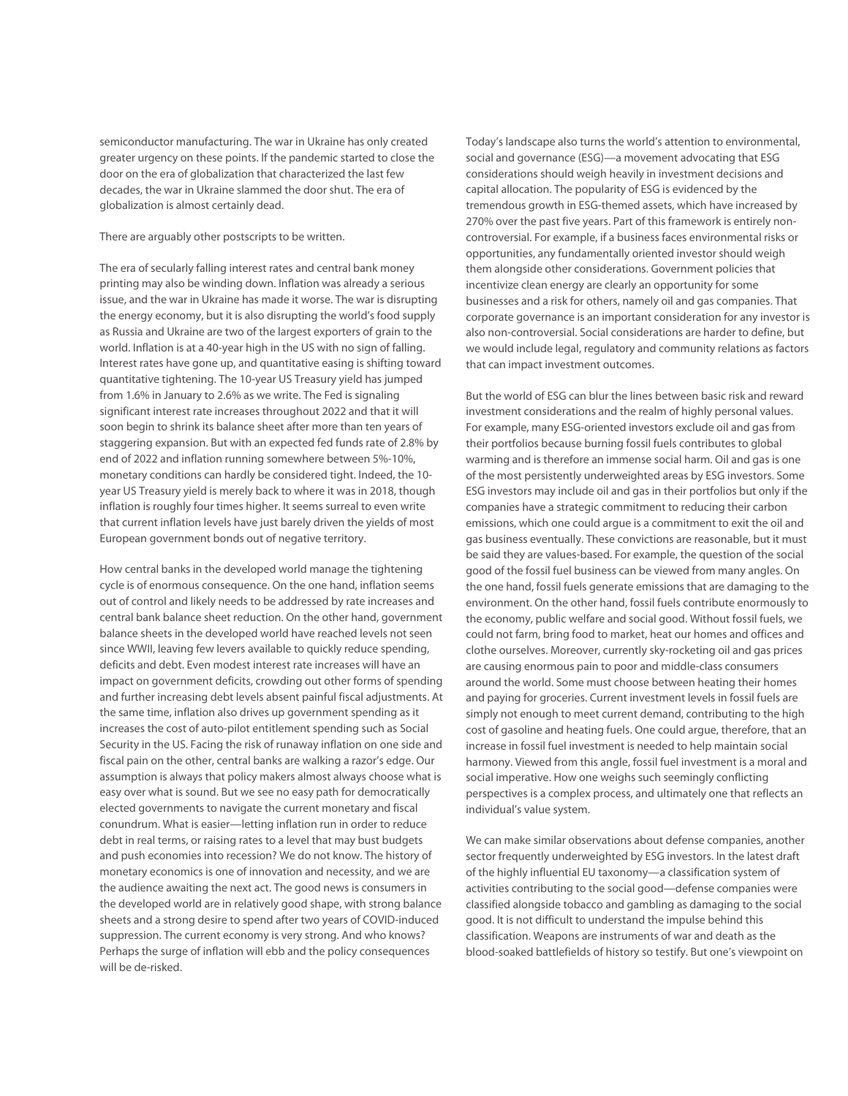semiconductor manufacturing. The war in Ukraine has only created greater urgency on these points. If the pandemic started to close the door on the era of globalization that characterized the last few decades, the war in Ukraine slammed the door shut. The era of globalization is almost certainly dead.

#### There are arguably other postscripts to be written.

The era of secularly falling interest rates and central bank money printing may also be winding down. Inflation was already a serious issue, and the war in Ukraine has made it worse. The war is disrupting the energy economy, but it is also disrupting the world's food supply as Russia and Ukraine are two of the largest exporters of grain to the world. Inflation is at a 40-year high in the US with no sign of falling. Interest rates have gone up, and quantitative easing is shifting toward quantitative tightening. The 10-year US Treasury yield has jumped from 1.6% in January to 2.6% as we write. The Fed is signaling significant interest rate increases throughout 2022 and that it will soon begin to shrink its balance sheet after more than ten years of staggering expansion. But with an expected fed funds rate of 2.8% by end of 2022 and inflation running somewhere between 5%-10%, monetary conditions can hardly be considered tight. Indeed, the 10 year US Treasury yield is merely back to where it was in 2018, though inflation is roughly four times higher. It seems surreal to even write that current inflation levels have just barely driven the yields of most European government bonds out of negative territory.

How central banks in the developed world manage the tightening cycle is of enormous consequence. On the one hand, inflation seems out of control and likely needs to be addressed by rate increases and central bank balance sheet reduction. On the other hand, government balance sheets in the developed world have reached levels not seen since WWII, leaving few levers available to quickly reduce spending, deficits and debt. Even modest interest rate increases will have an impact on government deficits, crowding out other forms of spending and further increasing debt levels absent painful fiscal adjustments. At the same time, inflation also drives up government spending as it increases the cost of auto-pilot entitlement spending such as Social Security in the US. Facing the risk of runaway inflation on one side and fiscal pain on the other, central banks are walking a razor's edge. Our assumption is always that policy makers almost always choose what is easy over what is sound. But we see no easy path for democratically elected governments to navigate the current monetary and fiscal conundrum. What is easier—letting inflation run in order to reduce debt in real terms, or raising rates to a level that may bust budgets and push economies into recession? We do not know. The history of monetary economics is one of innovation and necessity, and we are the audience awaiting the next act. The good news is consumers in the developed world are in relatively good shape, with strong balance sheets and a strong desire to spend after two years of COVID-induced suppression. The current economy is very strong. And who knows? Perhaps the surge of inflation will ebb and the policy consequences will be de-risked.

Today's landscape also turns the world's attention to environmental, social and governance (ESG)—a movement advocating that ESG considerations should weigh heavily in investment decisions and capital allocation. The popularity of ESG is evidenced by the tremendous growth in ESG-themed assets, which have increased by 270% over the past five years. Part of this framework is entirely noncontroversial. For example, if a business faces environmental risks or opportunities, any fundamentally oriented investor should weigh them alongside other considerations. Government policies that incentivize clean energy are clearly an opportunity for some businesses and a risk for others, namely oil and gas companies. That corporate governance is an important consideration for any investor is also non-controversial. Social considerations are harder to define, but we would include legal, regulatory and community relations as factors that can impact investment outcomes.

But the world of ESG can blur the lines between basic risk and reward investment considerations and the realm of highly personal values. For example, many ESG-oriented investors exclude oil and gas from their portfolios because burning fossil fuels contributes to global warming and is therefore an immense social harm. Oil and gas is one of the most persistently underweighted areas by ESG investors. Some ESG investors may include oil and gas in their portfolios but only if the companies have a strategic commitment to reducing their carbon emissions, which one could argue is a commitment to exit the oil and gas business eventually. These convictions are reasonable, but it must be said they are values-based. For example, the question of the social good of the fossil fuel business can be viewed from many angles. On the one hand, fossil fuels generate emissions that are damaging to the environment. On the other hand, fossil fuels contribute enormously to the economy, public welfare and social good. Without fossil fuels, we could not farm, bring food to market, heat our homes and offices and clothe ourselves. Moreover, currently sky-rocketing oil and gas prices are causing enormous pain to poor and middle-class consumers around the world. Some must choose between heating their homes and paying for groceries. Current investment levels in fossil fuels are simply not enough to meet current demand, contributing to the high cost of gasoline and heating fuels. One could argue, therefore, that an increase in fossil fuel investment is needed to help maintain social harmony. Viewed from this angle, fossil fuel investment is a moral and social imperative. How one weighs such seemingly conflicting perspectives is a complex process, and ultimately one that reflects an individual's value system.

We can make similar observations about defense companies, another sector frequently underweighted by ESG investors. In the latest draft of the highly influential EU taxonomy—a classification system of activities contributing to the social good—defense companies were classified alongside tobacco and gambling as damaging to the social good. It is not difficult to understand the impulse behind this classification. Weapons are instruments of war and death as the blood-soaked battlefields of history so testify. But one's viewpoint on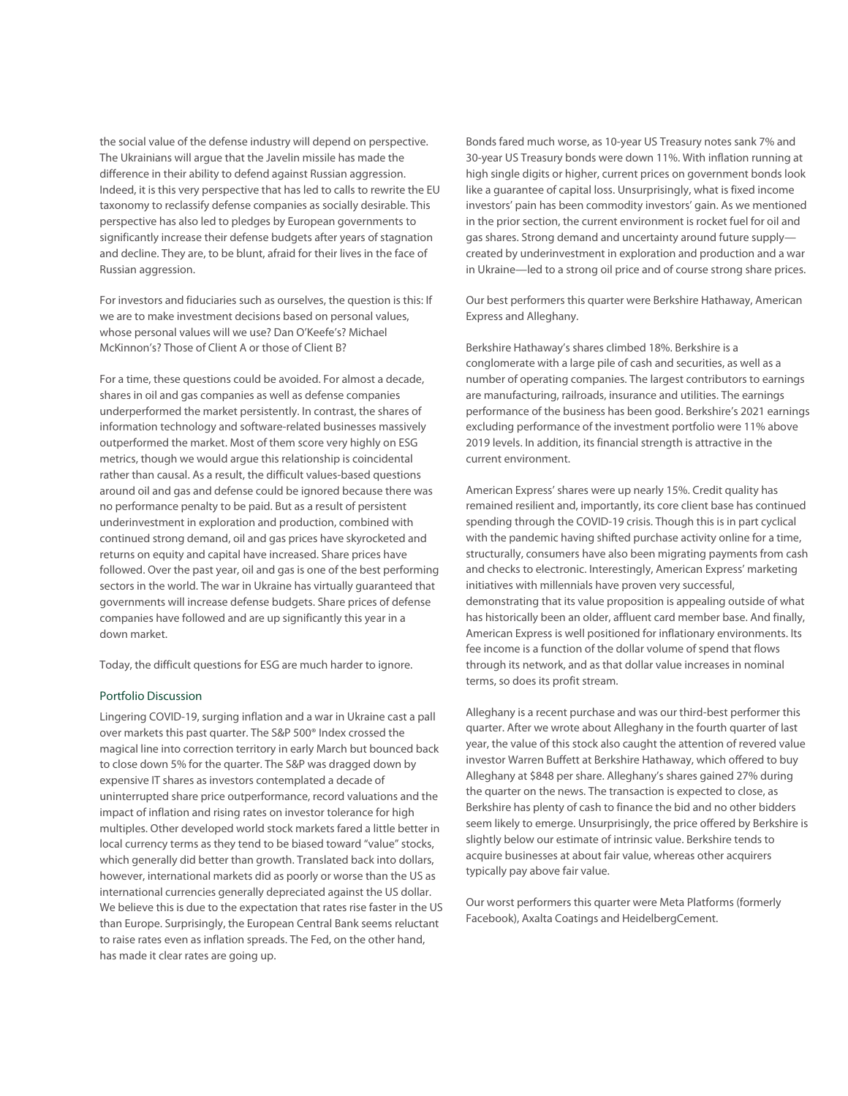the social value of the defense industry will depend on perspective. The Ukrainians will argue that the Javelin missile has made the difference in their ability to defend against Russian aggression. Indeed, it is this very perspective that has led to calls to rewrite the EU taxonomy to reclassify defense companies as socially desirable. This perspective has also led to pledges by European governments to significantly increase their defense budgets after years of stagnation and decline. They are, to be blunt, afraid for their lives in the face of Russian aggression.

For investors and fiduciaries such as ourselves, the question is this: If we are to make investment decisions based on personal values, whose personal values will we use? Dan O'Keefe's? Michael McKinnon's? Those of Client A or those of Client B?

For a time, these questions could be avoided. For almost a decade, shares in oil and gas companies as well as defense companies underperformed the market persistently. In contrast, the shares of information technology and software-related businesses massively outperformed the market. Most of them score very highly on ESG metrics, though we would argue this relationship is coincidental rather than causal. As a result, the difficult values-based questions around oil and gas and defense could be ignored because there was no performance penalty to be paid. But as a result of persistent underinvestment in exploration and production, combined with continued strong demand, oil and gas prices have skyrocketed and returns on equity and capital have increased. Share prices have followed. Over the past year, oil and gas is one of the best performing sectors in the world. The war in Ukraine has virtually guaranteed that governments will increase defense budgets. Share prices of defense companies have followed and are up significantly this year in a down market.

Today, the difficult questions for ESG are much harder to ignore.

#### Portfolio Discussion

Lingering COVID-19, surging inflation and a war in Ukraine cast a pall over markets this past quarter. The S&P 500® Index crossed the magical line into correction territory in early March but bounced back to close down 5% for the quarter. The S&P was dragged down by expensive IT shares as investors contemplated a decade of uninterrupted share price outperformance, record valuations and the impact of inflation and rising rates on investor tolerance for high multiples. Other developed world stock markets fared a little better in local currency terms as they tend to be biased toward "value" stocks, which generally did better than growth. Translated back into dollars, however, international markets did as poorly or worse than the US as international currencies generally depreciated against the US dollar. We believe this is due to the expectation that rates rise faster in the US than Europe. Surprisingly, the European Central Bank seems reluctant to raise rates even as inflation spreads. The Fed, on the other hand, has made it clear rates are going up.

Bonds fared much worse, as 10-year US Treasury notes sank 7% and 30-year US Treasury bonds were down 11%. With inflation running at high single digits or higher, current prices on government bonds look like a guarantee of capital loss. Unsurprisingly, what is fixed income investors' pain has been commodity investors' gain. As we mentioned in the prior section, the current environment is rocket fuel for oil and gas shares. Strong demand and uncertainty around future supply created by underinvestment in exploration and production and a war in Ukraine—led to a strong oil price and of course strong share prices.

Our best performers this quarter were Berkshire Hathaway, American Express and Alleghany.

Berkshire Hathaway's shares climbed 18%. Berkshire is a conglomerate with a large pile of cash and securities, as well as a number of operating companies. The largest contributors to earnings are manufacturing, railroads, insurance and utilities. The earnings performance of the business has been good. Berkshire's 2021 earnings excluding performance of the investment portfolio were 11% above 2019 levels. In addition, its financial strength is attractive in the current environment.

American Express' shares were up nearly 15%. Credit quality has remained resilient and, importantly, its core client base has continued spending through the COVID-19 crisis. Though this is in part cyclical with the pandemic having shifted purchase activity online for a time, structurally, consumers have also been migrating payments from cash and checks to electronic. Interestingly, American Express' marketing initiatives with millennials have proven very successful, demonstrating that its value proposition is appealing outside of what has historically been an older, affluent card member base. And finally, American Express is well positioned for inflationary environments. Its fee income is a function of the dollar volume of spend that flows through its network, and as that dollar value increases in nominal terms, so does its profit stream.

Alleghany is a recent purchase and was our third-best performer this quarter. After we wrote about Alleghany in the fourth quarter of last year, the value of this stock also caught the attention of revered value investor Warren Buffett at Berkshire Hathaway, which offered to buy Alleghany at \$848 per share. Alleghany's shares gained 27% during the quarter on the news. The transaction is expected to close, as Berkshire has plenty of cash to finance the bid and no other bidders seem likely to emerge. Unsurprisingly, the price offered by Berkshire is slightly below our estimate of intrinsic value. Berkshire tends to acquire businesses at about fair value, whereas other acquirers typically pay above fair value.

Our worst performers this quarter were Meta Platforms (formerly Facebook), Axalta Coatings and HeidelbergCement.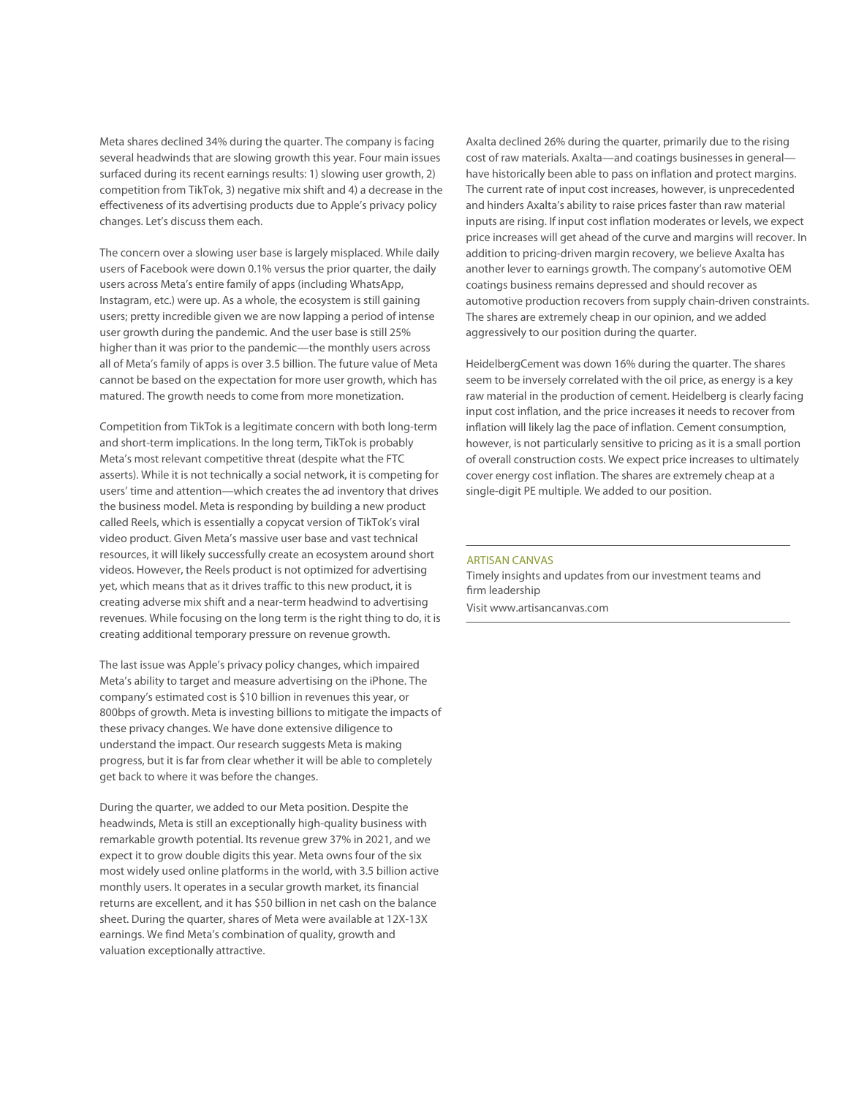Meta shares declined 34% during the quarter. The company is facing several headwinds that are slowing growth this year. Four main issues surfaced during its recent earnings results: 1) slowing user growth, 2) competition from TikTok, 3) negative mix shift and 4) a decrease in the effectiveness of its advertising products due to Apple's privacy policy changes. Let's discuss them each.

The concern over a slowing user base is largely misplaced. While daily users of Facebook were down 0.1% versus the prior quarter, the daily users across Meta's entire family of apps (including WhatsApp, Instagram, etc.) were up. As a whole, the ecosystem is still gaining users; pretty incredible given we are now lapping a period of intense user growth during the pandemic. And the user base is still 25% higher than it was prior to the pandemic—the monthly users across all of Meta's family of apps is over 3.5 billion. The future value of Meta cannot be based on the expectation for more user growth, which has matured. The growth needs to come from more monetization.

Competition from TikTok is a legitimate concern with both long-term and short-term implications. In the long term, TikTok is probably Meta's most relevant competitive threat (despite what the FTC asserts). While it is not technically a social network, it is competing for users' time and attention—which creates the ad inventory that drives the business model. Meta is responding by building a new product called Reels, which is essentially a copycat version of TikTok's viral video product. Given Meta's massive user base and vast technical resources, it will likely successfully create an ecosystem around short videos. However, the Reels product is not optimized for advertising yet, which means that as it drives traffic to this new product, it is creating adverse mix shift and a near-term headwind to advertising revenues. While focusing on the long term is the right thing to do, it is creating additional temporary pressure on revenue growth.

The last issue was Apple's privacy policy changes, which impaired Meta's ability to target and measure advertising on the iPhone. The company's estimated cost is \$10 billion in revenues this year, or 800bps of growth. Meta is investing billions to mitigate the impacts of these privacy changes. We have done extensive diligence to understand the impact. Our research suggests Meta is making progress, but it is far from clear whether it will be able to completely get back to where it was before the changes.

During the quarter, we added to our Meta position. Despite the headwinds, Meta is still an exceptionally high-quality business with remarkable growth potential. Its revenue grew 37% in 2021, and we expect it to grow double digits this year. Meta owns four of the six most widely used online platforms in the world, with 3.5 billion active monthly users. It operates in a secular growth market, its financial returns are excellent, and it has \$50 billion in net cash on the balance sheet. During the quarter, shares of Meta were available at 12X-13X earnings. We find Meta's combination of quality, growth and valuation exceptionally attractive.

Axalta declined 26% during the quarter, primarily due to the rising cost of raw materials. Axalta—and coatings businesses in general have historically been able to pass on inflation and protect margins. The current rate of input cost increases, however, is unprecedented and hinders Axalta's ability to raise prices faster than raw material inputs are rising. If input cost inflation moderates or levels, we expect price increases will get ahead of the curve and margins will recover. In addition to pricing-driven margin recovery, we believe Axalta has another lever to earnings growth. The company's automotive OEM coatings business remains depressed and should recover as automotive production recovers from supply chain-driven constraints. The shares are extremely cheap in our opinion, and we added aggressively to our position during the quarter.

HeidelbergCement was down 16% during the quarter. The shares seem to be inversely correlated with the oil price, as energy is a key raw material in the production of cement. Heidelberg is clearly facing input cost inflation, and the price increases it needs to recover from inflation will likely lag the pace of inflation. Cement consumption, however, is not particularly sensitive to pricing as it is a small portion of overall construction costs. We expect price increases to ultimately cover energy cost inflation. The shares are extremely cheap at a single-digit PE multiple. We added to our position.

#### ARTISAN CANVAS

Timely insights and updates from our investment teams and firm leadership Visit www.artisancanvas.com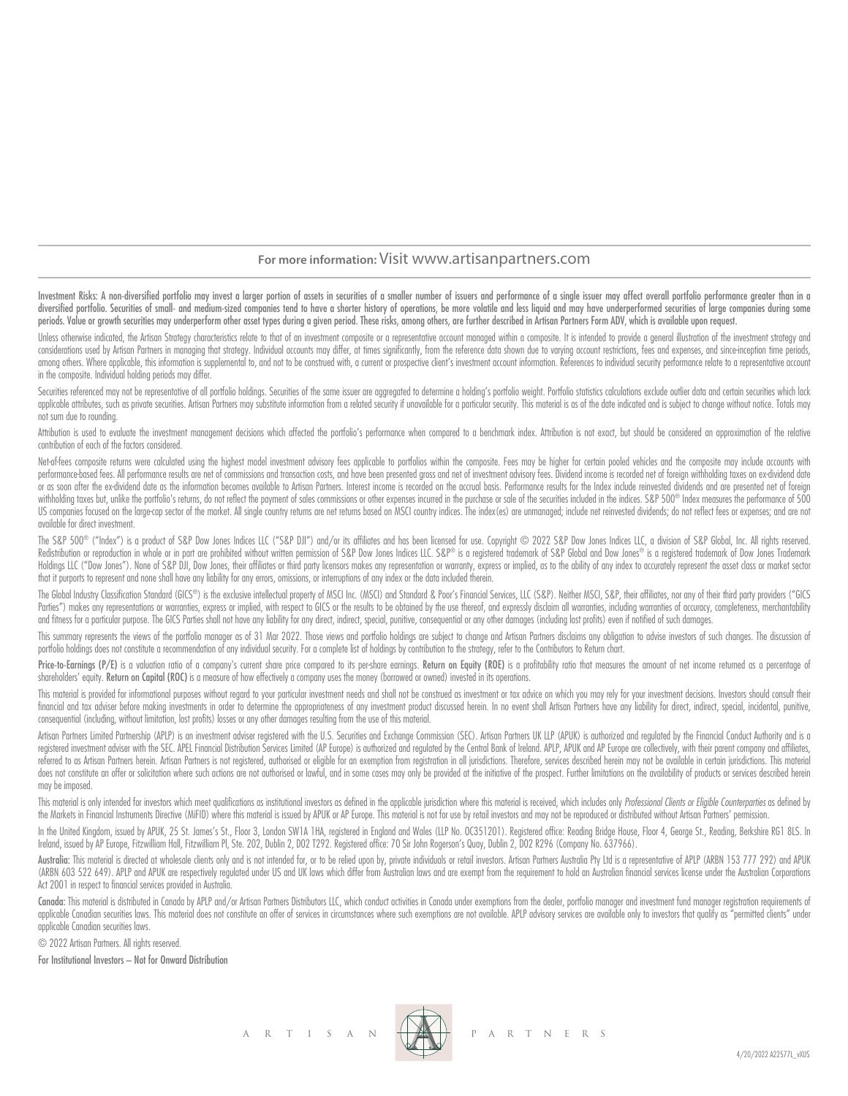#### **For more information:** Visit www.artisanpartners.com

Investment Risks: A non-diversified portfolio may invest a larger portion of assets in securities of a smaller number of issuers and performance of a single issuer may affect overall portfolio performance greater than in a diversified portfolio. Securities of small- and medium-sized companies tend to have a shorter history of operations, be more volatile and less liquid and may have underperformed securities of large companies during some periods. Value or growth securities may underperform other asset types during a given period. These risks, among others, are further described in Artisan Partners Form ADV, which is available upon request.

Unless otherwise indicated, the Artisan Strateav characteristics relate to that of an investment composite or a representative account mangaed within a composite. It is intended to provide a general illustration of the inv considerations used by Artisan Partners in managing that strategy. Individual accounts may differ, at times significantly, from the reference data shown due to varying account restrictions, fees and expenses, and since inc among others. Where applicable, this information is supplemental to, and not to be construed with, a current or prospective client's investment account information. References to individual security performance relate to a in the composite. Individual holding periods may differ.

Securities referenced may not be representative of all portfolio holdinas. Securities of the same issuer are agareagted to determine a holding's portfolio weight. Portfolio statistics calculations exclude outlier data and applicable attributes, such as private securities. Artisan Partners may substitute information from a related security if unavailable for a particular security. This material is as of the date indicated and is subject to c not sum due to rounding.

Attribution is used to evaluate the investment management decisions which affected the portfolio's performance when compared to a benchmark index. Attribution is not exact, but should be considered an approximation of the contribution of each of the factors considered.

Net-of-fees composite returns were calculated using the highest model investment advisory fees applicable to portfolios within the composite. Fees may be higher for certain pooled vehicles and the composite may include acc performance-based fees. All performance results are net of commissions and transaction costs, and have been presented gross and net of investment advisory fees. Dividend income is recorded net of foreign withholding taxes or as soon after the ex-dividend date as the information becomes available to Artisan Partners. Interest income is recorded on the accrual basis. Performance results for the Index include reinvested dividends and are prese withholding taxes but, unlike the portfolio's returns, do not reflect the payment of sales commissions or other expenses incurred in the purchase or sale of the securities included in the indices. S&P 500® Index measures t US companies focused on the large-cap sector of the market. All single country returns are net returns based on MSCI country indices. The index (es) are unmanaged; include net reinvested dividends; do not reflect fees or e available for direct investment.

The S&P 500® ("Index") is a product of S&P Dow Jones Indices LLC ("S&P DJI") and/or its affiliates and has been licensed for use. Copyright © 2022 S&P Dow Jones Indices LLC, a division of S&P Global, Inc. All rights reserv Redistribution or reproduction in whole or in part are prohibited without written permission of S&P Dow Jones Indices LLC. S&P® is a registered trademark of S&P Global and Dow Jones® is a registered trademark of Dow Jones Holdings LLC ("Dow Jones"). None of S&P DJI, Dow Jones, their affiliates or third party licensors makes any representation or warranty, express or implied, as to the ability of any index to accurately represent the asset c that it purports to represent and none shall have any liability for any errors, omissions, or interruptions of any index or the data included therein.

The Global Industry Classification Standard (GICS®) is the exclusive intellectual property of MSCI Inc. (MSCI) and Standard & Poor's Financial Services, LLC (S&P). Neither MSCI, S&P, their affiliates, nor any of their thir Parties") makes any representations or warranties, express or implied, with respect to GICS or the results to be obtained by the use thereof, and expressly disclaim all warranties, including warranties of accuracy, complet and fitness for a particular purpose. The GICS Parties shall not have any liability for any direct, indirect, special, punitive, consequential or any other damages (including lost profits) even if notified of such damages.

This summary represents the views of the portfolio manager as of 31 Mar 2022. Those views and portfolio holdings are subject to change and Artisan Partners disclaims any obligation to advise investors of such changes. The portfolio holdings does not constitute a recommendation of any individual security. For a complete list of holdings by contribution to the strategy, refer to the Contributors to Return chart.

Price-to-Earnings (P/E) is a valuation ratio of a company's current share price compared to its per-share earnings. Return on Eauity (ROE) is a profitability ratio that measures the amount of net income returned as a perce shareholders' equity. Return on Capital (ROC) is a measure of how effectively a company uses the money (borrowed or owned) invested in its operations.

This material is provided for informational purposes without regard to your particular investment needs and shall not be construed as investment or tax advice on which you may rely for your investment decisions. Investors financial and tax adviser before making investments in order to determine the appropriateness of any investment product discussed herein. In no event shall Artisan Partners have any liability for direct, indirect, special, consequential (including, without limitation, lost profits) losses or any other damages resulting from the use of this material.

Artisan Partners Limited Partnership (APLP) is an investment adviser registered with the U.S. Securities and Exchange Commission (SEC). Artisan Partners UK LLP (APUK) is authorized and regulated by the Financial Conduct Au registered investment adviser with the SEC. APEL Financial Distribution Services Limited (AP Europe) is authorized and regulated by the Central Bank of Ireland. APLP, APUK and AP Europe are collectively, with their parent referred to as Artisan Partners herein. Artisan Partners is not registered, authorised or eligible for an exemption from registration in all jurisdictions. Therefore, services described herein may not be available in certa does not constitute an offer or solicitation where such actions are not authorised or lawful, and in some cases may only be provided at the initiative of the prospect. Further limitations on the availability of products or may be imposed.

This material is only intended for investors which meet qualifications as institutional investors as defined in the applicable jurisdiction where this material is received, which includes only Professional Clients or Eligi the Markets in Financial Instruments Directive (MiFID) where this material is issued by APUK or AP Europe. This material is not for use by retail investors and may not be reproduced or distributed without Artisan Partners'

In the United Kingdom, issued by APUK, 25 St. James's St., Floor 3, London SW1A 1HA, registered in England and Wales (LLP No. OC351201). Registered office: Reading Bridge House, Floor 4, George St., Reading, Berkshire RG1 Ireland, issued by AP Europe, Fitzwilliam Hall, Fitzwilliam Pl, Ste. 202, Dublin 2, D02 T292. Registered office: 70 Sir John Rogerson's Quay, Dublin 2, D02 R296 (Company No. 637966).

Australia: This material is directed at wholesale clients only and is not intended for, or to be relied upon by, private individuals or retail investors. Artisan Partnes Australia Pty Ltd is a representative of APLP (ARBN (ARBN 603 522 649). APLP and APUK are respectively regulated under US and UK laws which differ from Australian laws and are exempt from the requirement to hold an Australian financial services license under the Australian Act 2001 in respect to financial services provided in Australia.

Canada: This material is distributed in Canada by APLP and/or Artisan Partners Distributors LLC, which conduct activities in Canada under exemptions from the dealer, portfolio manager and investment fund manager registrati applicable Canadian securities laws. This material does not constitute an offer of services in circumstances where such exemptions are not available. APLP advisory services are available only to investors that quality as " applicable Canadian securities laws.

© 2022 Artisan Partners. All rights reserved.

For Institutional Investors – Not for Onward Distribution